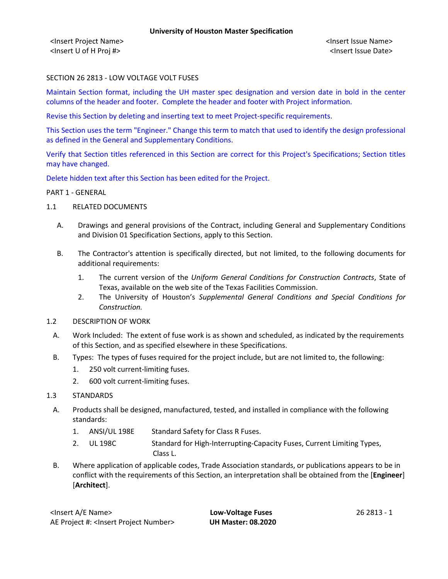<Insert Project Name> <Insert Issue Name> <Insert U of H Proj #> <Insert Issue Date>

# SECTION 26 2813 - LOW VOLTAGE VOLT FUSES

Maintain Section format, including the UH master spec designation and version date in bold in the center columns of the header and footer. Complete the header and footer with Project information.

Revise this Section by deleting and inserting text to meet Project-specific requirements.

This Section uses the term "Engineer." Change this term to match that used to identify the design professional as defined in the General and Supplementary Conditions.

Verify that Section titles referenced in this Section are correct for this Project's Specifications; Section titles may have changed.

Delete hidden text after this Section has been edited for the Project.

#### PART 1 - GENERAL

- 1.1 RELATED DOCUMENTS
	- A. Drawings and general provisions of the Contract, including General and Supplementary Conditions and Division 01 Specification Sections, apply to this Section.
	- B. The Contractor's attention is specifically directed, but not limited, to the following documents for additional requirements:
		- 1. The current version of the *Uniform General Conditions for Construction Contracts*, State of Texas, available on the web site of the Texas Facilities Commission.
		- 2. The University of Houston's *Supplemental General Conditions and Special Conditions for Construction.*
- 1.2 DESCRIPTION OF WORK
	- A. Work Included: The extent of fuse work is as shown and scheduled, as indicated by the requirements of this Section, and as specified elsewhere in these Specifications.
	- B. Types: The types of fuses required for the project include, but are not limited to, the following:
		- 1. 250 volt current-limiting fuses.
		- 2. 600 volt current-limiting fuses.
- 1.3 STANDARDS
	- A. Products shall be designed, manufactured, tested, and installed in compliance with the following standards:
		- 1. ANSI/UL 198E Standard Safety for Class R Fuses.
		- 2. UL 198C Standard for High-Interrupting-Capacity Fuses, Current Limiting Types, Class L.
	- B. Where application of applicable codes, Trade Association standards, or publications appears to be in conflict with the requirements of this Section, an interpretation shall be obtained from the [**Engineer**] [**Architect**].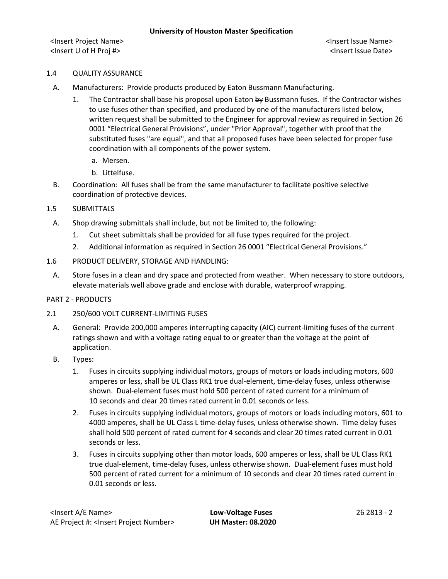<Insert Project Name> <Insert Issue Name> <Insert U of H Proj #> <Insert Issue Date>

# 1.4 QUALITY ASSURANCE

- A. Manufacturers: Provide products produced by Eaton Bussmann Manufacturing.
	- 1. The Contractor shall base his proposal upon Eaton by Bussmann fuses. If the Contractor wishes to use fuses other than specified, and produced by one of the manufacturers listed below, written request shall be submitted to the Engineer for approval review as required in Section 26 0001 "Electrical General Provisions", under "Prior Approval", together with proof that the substituted fuses "are equal", and that all proposed fuses have been selected for proper fuse coordination with all components of the power system.
		- a. Mersen.
		- b. Littelfuse.
- B. Coordination: All fuses shall be from the same manufacturer to facilitate positive selective coordination of protective devices.
- 1.5 SUBMITTALS
	- A. Shop drawing submittals shall include, but not be limited to, the following:
		- 1. Cut sheet submittals shall be provided for all fuse types required for the project.
		- 2. Additional information as required in Section 26 0001 "Electrical General Provisions."
- 1.6 PRODUCT DELIVERY, STORAGE AND HANDLING:
	- A. Store fuses in a clean and dry space and protected from weather. When necessary to store outdoors, elevate materials well above grade and enclose with durable, waterproof wrapping.

### PART 2 - PRODUCTS

- 2.1 250/600 VOLT CURRENT-LIMITING FUSES
	- A. General: Provide 200,000 amperes interrupting capacity (AIC) current-limiting fuses of the current ratings shown and with a voltage rating equal to or greater than the voltage at the point of application.
	- B. Types:
		- 1. Fuses in circuits supplying individual motors, groups of motors or loads including motors, 600 amperes or less, shall be UL Class RK1 true dual-element, time-delay fuses, unless otherwise shown. Dual-element fuses must hold 500 percent of rated current for a minimum of 10 seconds and clear 20 times rated current in 0.01 seconds or less.
		- 2. Fuses in circuits supplying individual motors, groups of motors or loads including motors, 601 to 4000 amperes, shall be UL Class L time-delay fuses, unless otherwise shown. Time delay fuses shall hold 500 percent of rated current for 4 seconds and clear 20 times rated current in 0.01 seconds or less.
		- 3. Fuses in circuits supplying other than motor loads, 600 amperes or less, shall be UL Class RK1 true dual-element, time-delay fuses, unless otherwise shown. Dual-element fuses must hold 500 percent of rated current for a minimum of 10 seconds and clear 20 times rated current in 0.01 seconds or less.